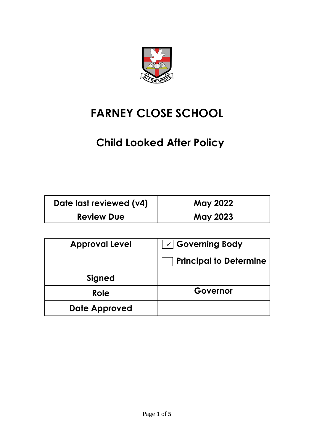

# **FARNEY CLOSE SCHOOL**

## **Child Looked After Policy**

| Date last reviewed (v4) | May 2022        |
|-------------------------|-----------------|
| <b>Review Due</b>       | <b>May 2023</b> |

| <b>Approval Level</b> | $\sqrt{2}$ Governing Body     |
|-----------------------|-------------------------------|
|                       | <b>Principal to Determine</b> |
| Signed                |                               |
| Role                  | Governor                      |
| Date Approved         |                               |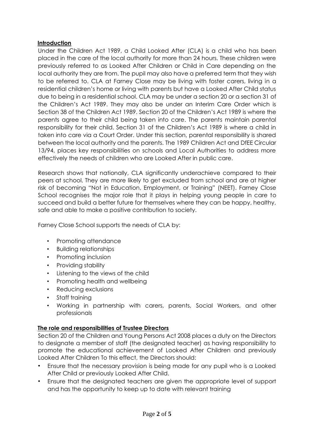### **Introduction**

Under the Children Act 1989, a Child Looked After (CLA) is a child who has been placed in the care of the local authority for more than 24 hours. These children were previously referred to as Looked After Children or Child in Care depending on the local authority they are from. The pupil may also have a preferred term that they wish to be referred to. CLA at Farney Close may be living with foster carers, living in a residential children's home or living with parents but have a Looked After Child status due to being in a residential school. CLA may be under a section 20 or a section 31 of the Children's Act 1989. They may also be under an Interim Care Order which is Section 38 of the Children Act 1989. Section 20 of the Children's Act 1989 is where the parents agree to their child being taken into care. The parents maintain parental responsibility for their child. Section 31 of the Children's Act 1989 is where a child in taken into care via a Court Order. Under this section, parental responsibility is shared between the local authority and the parents. The 1989 Children Act and DfEE Circular 13/94, places key responsibilities on schools and Local Authorities to address more effectively the needs of children who are Looked After in public care.

Research shows that nationally, CLA significantly underachieve compared to their peers at school. They are more likely to get excluded from school and are at higher risk of becoming "Not in Education, Employment, or Training" (NEET). Farney Close School recognises the major role that it plays in helping young people in care to succeed and build a better future for themselves where they can be happy, healthy, safe and able to make a positive contribution to society.

Farney Close School supports the needs of CLA by:

- Promoting attendance
- Building relationships
- Promoting inclusion
- Providing stability
- Listening to the views of the child
- Promoting health and wellbeing
- Reducing exclusions
- Staff training
- Working in partnership with carers, parents, Social Workers, and other professionals

## **The role and responsibilities of Trustee Directors**

Section 20 of the Children and Young Persons Act 2008 places a duty on the Directors to designate a member of staff (the designated teacher) as having responsibility to promote the educational achievement of Looked After Children and previously Looked After Children To this effect, the Directors should:

- Ensure that the necessary provision is being made for any pupil who is a Looked After Child or previously Looked After Child.
- Ensure that the designated teachers are given the appropriate level of support and has the opportunity to keep up to date with relevant training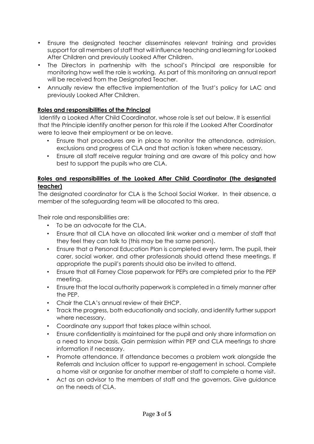- Ensure the designated teacher disseminates relevant training and provides support for all members of staff that will influence teaching and learning for Looked After Children and previously Looked After Children.
- The Directors in partnership with the school's Principal are responsible for monitoring how well the role is working. As part of this monitoring an annual report will be received from the Designated Teacher.
- Annually review the effective implementation of the Trust's policy for LAC and previously Looked After Children.

### **Roles and responsibilities of the Principal**

Identify a Looked After Child Coordinator, whose role is set out below. It is essential that the Principle identify another person for this role if the Looked After Coordinator were to leave their employment or be on leave.

- Ensure that procedures are in place to monitor the attendance, admission, exclusions and progress of CLA and that action is taken where necessary.
- Ensure all staff receive regular training and are aware of this policy and how best to support the pupils who are CLA.

## **Roles and responsibilities of the Looked After Child Coordinator (the designated teacher)**

The designated coordinator for CLA is the School Social Worker. In their absence, a member of the safeguarding team will be allocated to this area.

Their role and responsibilities are:

- To be an advocate for the CLA.
- Ensure that all CLA have an allocated link worker and a member of staff that they feel they can talk to (this may be the same person).
- Ensure that a Personal Education Plan is completed every term. The pupil, their carer, social worker, and other professionals should attend these meetings. If appropriate the pupil's parents should also be invited to attend.
- Ensure that all Farney Close paperwork for PEPs are completed prior to the PEP meeting.
- Ensure that the local authority paperwork is completed in a timely manner after the PEP.
- Chair the CLA's annual review of their EHCP.
- Track the progress, both educationally and socially, and identify further support where necessary.
- Coordinate any support that takes place within school.
- Ensure confidentiality is maintained for the pupil and only share information on a need to know basis. Gain permission within PEP and CLA meetings to share information if necessary.
- Promote attendance. If attendance becomes a problem work alongside the Referrals and Inclusion officer to support re-engagement in school. Complete a home visit or organise for another member of staff to complete a home visit.
- Act as an advisor to the members of staff and the governors. Give guidance on the needs of CLA.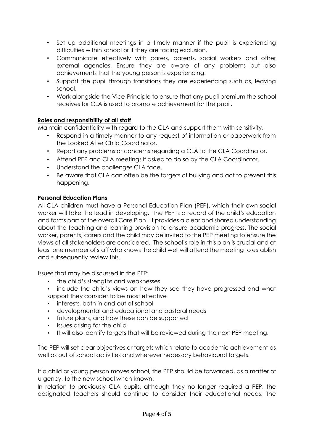- Set up additional meetings in a timely manner if the pupil is experiencing difficulties within school or if they are facing exclusion.
- Communicate effectively with carers, parents, social workers and other external agencies. Ensure they are aware of any problems but also achievements that the young person is experiencing.
- Support the pupil through transitions they are experiencing such as, leaving school.
- Work alongside the Vice-Principle to ensure that any pupil premium the school receives for CLA is used to promote achievement for the pupil.

### **Roles and responsibility of all staff**

Maintain confidentiality with regard to the CLA and support them with sensitivity.

- Respond in a timely manner to any request of information or paperwork from the Looked After Child Coordinator.
- Report any problems or concerns regarding a CLA to the CLA Coordinator.
- Attend PEP and CLA meetings if asked to do so by the CLA Coordinator.
- Understand the challenges CLA face.
- Be aware that CLA can often be the targets of bullying and act to prevent this happening.

#### **Personal Education Plans**

All CLA children must have a Personal Education Plan (PEP), which their own social worker will take the lead in developing. The PEP is a record of the child's education and forms part of the overall Care Plan. It provides a clear and shared understanding about the teaching and learning provision to ensure academic progress. The social worker, parents, carers and the child may be invited to the PEP meeting to ensure the views of all stakeholders are considered. The school's role in this plan is crucial and at least one member of staff who knows the child well will attend the meeting to establish and subsequently review this.

Issues that may be discussed in the PEP:

- the child's strengths and weaknesses
- include the child's views on how they see they have progressed and what support they consider to be most effective
- interests, both in and out of school
- developmental and educational and pastoral needs
- future plans, and how these can be supported
- issues arising for the child
- It will also identify targets that will be reviewed during the next PEP meeting.

The PEP will set clear objectives or targets which relate to academic achievement as well as out of school activities and wherever necessary behavioural targets.

If a child or young person moves school, the PEP should be forwarded, as a matter of urgency, to the new school when known.

In relation to previously CLA pupils, although they no longer required a PEP, the designated teachers should continue to consider their educational needs. The